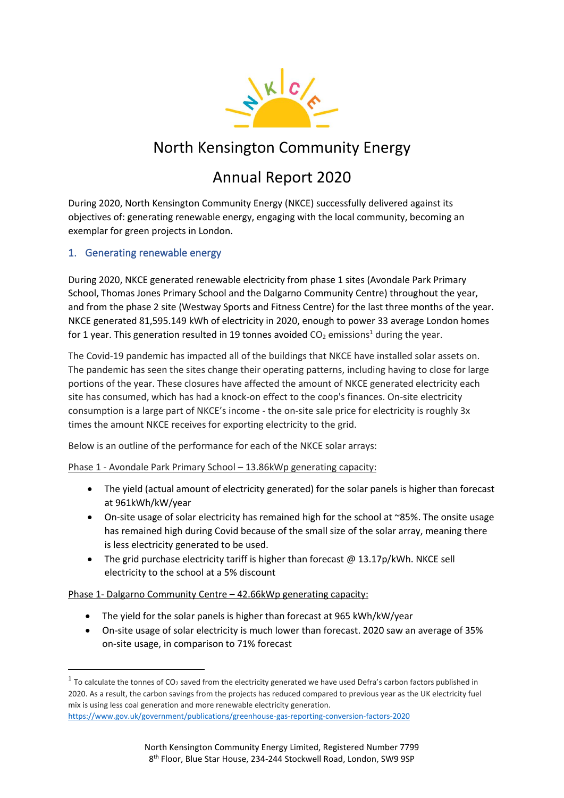

## North Kensington Community Energy

# Annual Report 2020

During 2020, North Kensington Community Energy (NKCE) successfully delivered against its objectives of: generating renewable energy, engaging with the local community, becoming an exemplar for green projects in London.

## 1. Generating renewable energy

During 2020, NKCE generated renewable electricity from phase 1 sites (Avondale Park Primary School, Thomas Jones Primary School and the Dalgarno Community Centre) throughout the year, and from the phase 2 site (Westway Sports and Fitness Centre) for the last three months of the year. NKCE generated 81,595.149 kWh of electricity in 2020, enough to power 33 average London homes for 1 year. This generation resulted in 19 tonnes avoided  $CO<sub>2</sub>$  emissions<sup>1</sup> during the year.

The Covid-19 pandemic has impacted all of the buildings that NKCE have installed solar assets on. The pandemic has seen the sites change their operating patterns, including having to close for large portions of the year. These closures have affected the amount of NKCE generated electricity each site has consumed, which has had a knock-on effect to the coop's finances. On-site electricity consumption is a large part of NKCE's income - the on-site sale price for electricity is roughly 3x times the amount NKCE receives for exporting electricity to the grid.

Below is an outline of the performance for each of the NKCE solar arrays:

Phase 1 - Avondale Park Primary School – 13.86kWp generating capacity:

- The yield (actual amount of electricity generated) for the solar panels is higher than forecast at 961kWh/kW/year
- On-site usage of solar electricity has remained high for the school at ~85%. The onsite usage has remained high during Covid because of the small size of the solar array, meaning there is less electricity generated to be used.
- The grid purchase electricity tariff is higher than forecast  $@$  13.17p/kWh. NKCE sell electricity to the school at a 5% discount

Phase 1- Dalgarno Community Centre – 42.66kWp generating capacity:

- The yield for the solar panels is higher than forecast at 965 kWh/kW/year
- On-site usage of solar electricity is much lower than forecast. 2020 saw an average of 35% on-site usage, in comparison to 71% forecast

<sup>&</sup>lt;sup>1</sup> To calculate the tonnes of CO<sub>2</sub> saved from the electricity generated we have used Defra's carbon factors published in 2020. As a result, the carbon savings from the projects has reduced compared to previous year as the UK electricity fuel mix is using less coal generation and more renewable electricity generation.

<https://www.gov.uk/government/publications/greenhouse-gas-reporting-conversion-factors-2020>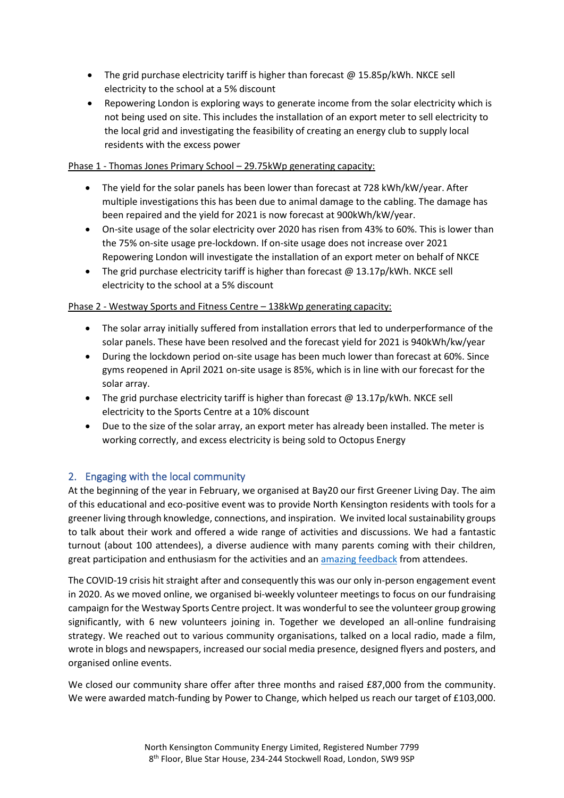- The grid purchase electricity tariff is higher than forecast  $@$  15.85p/kWh. NKCE sell electricity to the school at a 5% discount
- Repowering London is exploring ways to generate income from the solar electricity which is not being used on site. This includes the installation of an export meter to sell electricity to the local grid and investigating the feasibility of creating an energy club to supply local residents with the excess power

#### Phase 1 - Thomas Jones Primary School – 29.75kWp generating capacity:

- The yield for the solar panels has been lower than forecast at 728 kWh/kW/year. After multiple investigations this has been due to animal damage to the cabling. The damage has been repaired and the yield for 2021 is now forecast at 900kWh/kW/year.
- On-site usage of the solar electricity over 2020 has risen from 43% to 60%. This is lower than the 75% on-site usage pre-lockdown. If on-site usage does not increase over 2021 Repowering London will investigate the installation of an export meter on behalf of NKCE
- The grid purchase electricity tariff is higher than forecast  $@$  13.17p/kWh. NKCE sell electricity to the school at a 5% discount

#### Phase 2 - Westway Sports and Fitness Centre – 138kWp generating capacity:

- The solar array initially suffered from installation errors that led to underperformance of the solar panels. These have been resolved and the forecast yield for 2021 is 940kWh/kw/year
- During the lockdown period on-site usage has been much lower than forecast at 60%. Since gyms reopened in April 2021 on-site usage is 85%, which is in line with our forecast for the solar array.
- The grid purchase electricity tariff is higher than forecast  $@$  13.17p/kWh. NKCE sell electricity to the Sports Centre at a 10% discount
- Due to the size of the solar array, an export meter has already been installed. The meter is working correctly, and excess electricity is being sold to Octopus Energy

## 2. Engaging with the local community

At the beginning of the year in February, we organised at Bay20 our first Greener Living Day. The aim of this educational and eco-positive event was to provide North Kensington residents with tools for a greener living through knowledge, connections, and inspiration. We invited local sustainability groups to talk about their work and offered a wide range of activities and discussions. We had a fantastic turnout (about 100 attendees), a diverse audience with many parents coming with their children, great participation and enthusiasm for the activities and an [amazing feedback](https://www.repowering.org.uk/wp-content/uploads/2020/05/110320_GLD_Report-EXTERNAL.pdf) from attendees.

The COVID-19 crisis hit straight after and consequently this was our only in-person engagement event in 2020. As we moved online, we organised bi-weekly volunteer meetings to focus on our fundraising campaign for the Westway Sports Centre project. It was wonderful to see the volunteer group growing significantly, with 6 new volunteers joining in. Together we developed an all-online fundraising strategy. We reached out to various community organisations, talked on a local radio, made a film, wrote in blogs and newspapers, increased our social media presence, designed flyers and posters, and organised online events.

We closed our community share offer after three months and raised £87,000 from the community. We were awarded match-funding by Power to Change, which helped us reach our target of £103,000.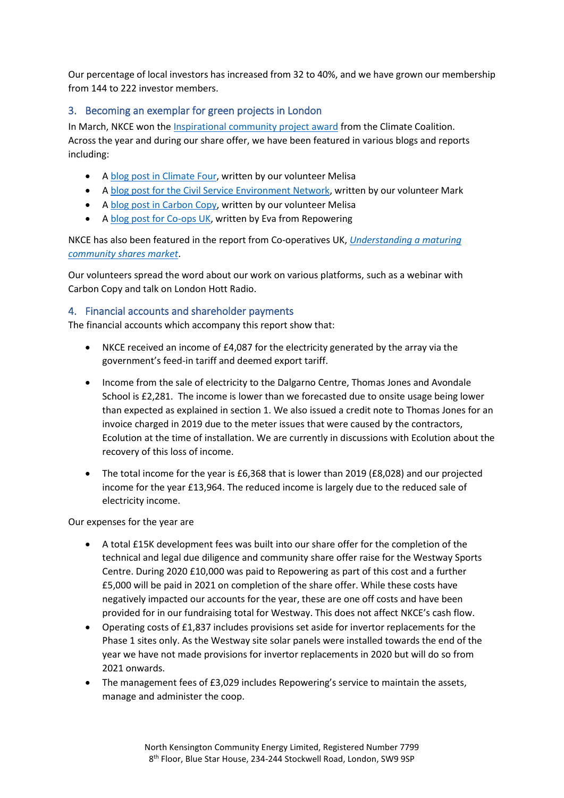Our percentage of local investors has increased from 32 to 40%, and we have grown our membership from 144 to 222 investor members.

## 3. Becoming an exemplar for green projects in London

In March, NKCE won the [Inspirational community project award](https://theccoalition.medium.com/north-kensington-community-energy-using-renewable-energy-to-make-positive-change-in-their-7c376c0d7ea) from the Climate Coalition. Across the year and during our share offer, we have been featured in various blogs and reports including:

- A [blog post in Climate Four,](https://climatefour.com/2021/04/28/interview-discovering-who-is-behind-community-energy-projects/) written by our volunteer Melisa
- A [blog post for the Civil Service Environment Network,](https://www.civilserviceenvironmentnetwork.org/post/climate-action-in-the-community-north-kensington) written by our volunteer Mark
- A [blog post in Carbon Copy,](https://carboncopy.eco/blog/melisa-gooding-bringing-power-to-the-people-with-north-kensington-community-energy) written by our volunteer Melisa
- A [blog post for Co-ops UK,](https://www.uk.coop/blog/eva-goudouneix-next-generation-community-shares-practitioner) written by Eva from Repowering

NKCE has also been featured in the report from Co-operatives UK, *[Understanding a maturing](https://www.uk.coop/sites/default/files/2020-10/community-shares-report-2020-final_0.pdf)  [community shares market](https://www.uk.coop/sites/default/files/2020-10/community-shares-report-2020-final_0.pdf)*.

Our volunteers spread the word about our work on various platforms, such as a webinar with Carbon Copy and talk on London Hott Radio.

## 4. Financial accounts and shareholder payments

The financial accounts which accompany this report show that:

- NKCE received an income of £4,087 for the electricity generated by the array via the government's feed-in tariff and deemed export tariff.
- Income from the sale of electricity to the Dalgarno Centre, Thomas Jones and Avondale School is £2,281. The income is lower than we forecasted due to onsite usage being lower than expected as explained in section 1. We also issued a credit note to Thomas Jones for an invoice charged in 2019 due to the meter issues that were caused by the contractors, Ecolution at the time of installation. We are currently in discussions with Ecolution about the recovery of this loss of income.
- The total income for the year is £6,368 that is lower than 2019 (£8,028) and our projected income for the year £13,964. The reduced income is largely due to the reduced sale of electricity income.

#### Our expenses for the year are

- A total £15K development fees was built into our share offer for the completion of the technical and legal due diligence and community share offer raise for the Westway Sports Centre. During 2020 £10,000 was paid to Repowering as part of this cost and a further £5,000 will be paid in 2021 on completion of the share offer. While these costs have negatively impacted our accounts for the year, these are one off costs and have been provided for in our fundraising total for Westway. This does not affect NKCE's cash flow.
- Operating costs of £1,837 includes provisions set aside for invertor replacements for the Phase 1 sites only. As the Westway site solar panels were installed towards the end of the year we have not made provisions for invertor replacements in 2020 but will do so from 2021 onwards.
- The management fees of £3,029 includes Repowering's service to maintain the assets, manage and administer the coop.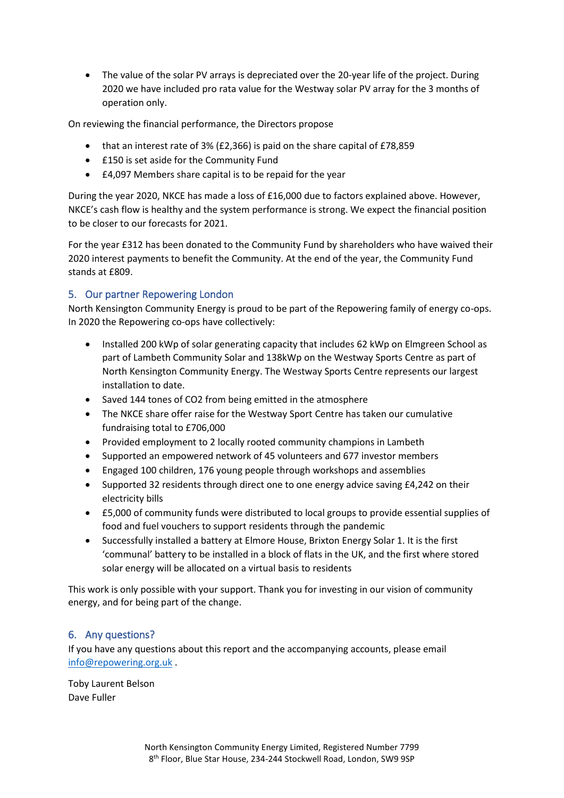• The value of the solar PV arrays is depreciated over the 20-year life of the project. During 2020 we have included pro rata value for the Westway solar PV array for the 3 months of operation only.

On reviewing the financial performance, the Directors propose

- that an interest rate of 3% (£2,366) is paid on the share capital of £78,859
- £150 is set aside for the Community Fund
- £4,097 Members share capital is to be repaid for the year

During the year 2020, NKCE has made a loss of £16,000 due to factors explained above. However, NKCE's cash flow is healthy and the system performance is strong. We expect the financial position to be closer to our forecasts for 2021.

For the year £312 has been donated to the Community Fund by shareholders who have waived their 2020 interest payments to benefit the Community. At the end of the year, the Community Fund stands at £809.

## 5. Our partner Repowering London

North Kensington Community Energy is proud to be part of the Repowering family of energy co-ops. In 2020 the Repowering co-ops have collectively:

- Installed 200 kWp of solar generating capacity that includes 62 kWp on Elmgreen School as part of Lambeth Community Solar and 138kWp on the Westway Sports Centre as part of North Kensington Community Energy. The Westway Sports Centre represents our largest installation to date.
- Saved 144 tones of CO2 from being emitted in the atmosphere
- The NKCE share offer raise for the Westway Sport Centre has taken our cumulative fundraising total to £706,000
- Provided employment to 2 locally rooted community champions in Lambeth
- Supported an empowered network of 45 volunteers and 677 investor members
- Engaged 100 children, 176 young people through workshops and assemblies
- Supported 32 residents through direct one to one energy advice saving £4,242 on their electricity bills
- £5,000 of community funds were distributed to local groups to provide essential supplies of food and fuel vouchers to support residents through the pandemic
- Successfully installed a battery at Elmore House, Brixton Energy Solar 1. It is the first 'communal' battery to be installed in a block of flats in the UK, and the first where stored solar energy will be allocated on a virtual basis to residents

This work is only possible with your support. Thank you for investing in our vision of community energy, and for being part of the change.

## 6. Any questions?

If you have any questions about this report and the accompanying accounts, please email [info@repowering.org.uk](mailto:info@repowering.org.uk) .

Toby Laurent Belson Dave Fuller